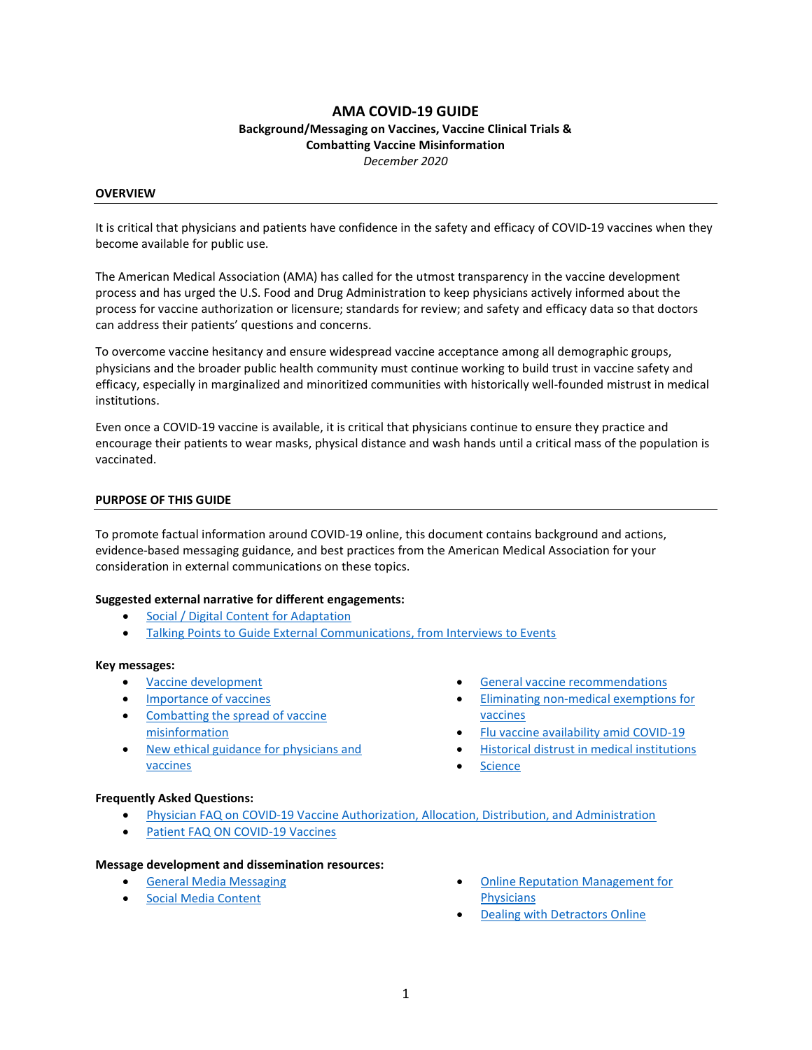# AMA COVID-19 GUIDE

## Background/Messaging on Vaccines, Vaccine Clinical Trials & Combatting Vaccine Misinformation December 2020

#### **OVERVIEW**

It is critical that physicians and patients have confidence in the safety and efficacy of COVID-19 vaccines when they become available for public use.

The American Medical Association (AMA) has called for the utmost transparency in the vaccine development process and has urged the U.S. Food and Drug Administration to keep physicians actively informed about the process for vaccine authorization or licensure; standards for review; and safety and efficacy data so that doctors can address their patients' questions and concerns.

To overcome vaccine hesitancy and ensure widespread vaccine acceptance among all demographic groups, physicians and the broader public health community must continue working to build trust in vaccine safety and efficacy, especially in marginalized and minoritized communities with historically well-founded mistrust in medical institutions.

Even once a COVID-19 vaccine is available, it is critical that physicians continue to ensure they practice and encourage their patients to wear masks, physical distance and wash hands until a critical mass of the population is vaccinated.

#### PURPOSE OF THIS GUIDE

To promote factual information around COVID-19 online, this document contains background and actions, evidence-based messaging guidance, and best practices from the American Medical Association for your consideration in external communications on these topics.

#### Suggested external narrative for different engagements:

- Social / Digital Content for Adaptation
- Talking Points to Guide External Communications, from Interviews to Events

#### Key messages:

- Vaccine development
- Importance of vaccines
- Combatting the spread of vaccine misinformation
- New ethical guidance for physicians and vaccines
- General vaccine recommendations
- Eliminating non-medical exemptions for vaccines
- Flu vaccine availability amid COVID-19
- Historical distrust in medical institutions
- Science

#### Frequently Asked Questions:

- Physician FAQ on COVID-19 Vaccine Authorization, Allocation, Distribution, and Administration
- Patient FAQ ON COVID-19 Vaccines

#### Message development and dissemination resources:

- General Media Messaging
- **•** Social Media Content
- Online Reputation Management for **Physicians**
- Dealing with Detractors Online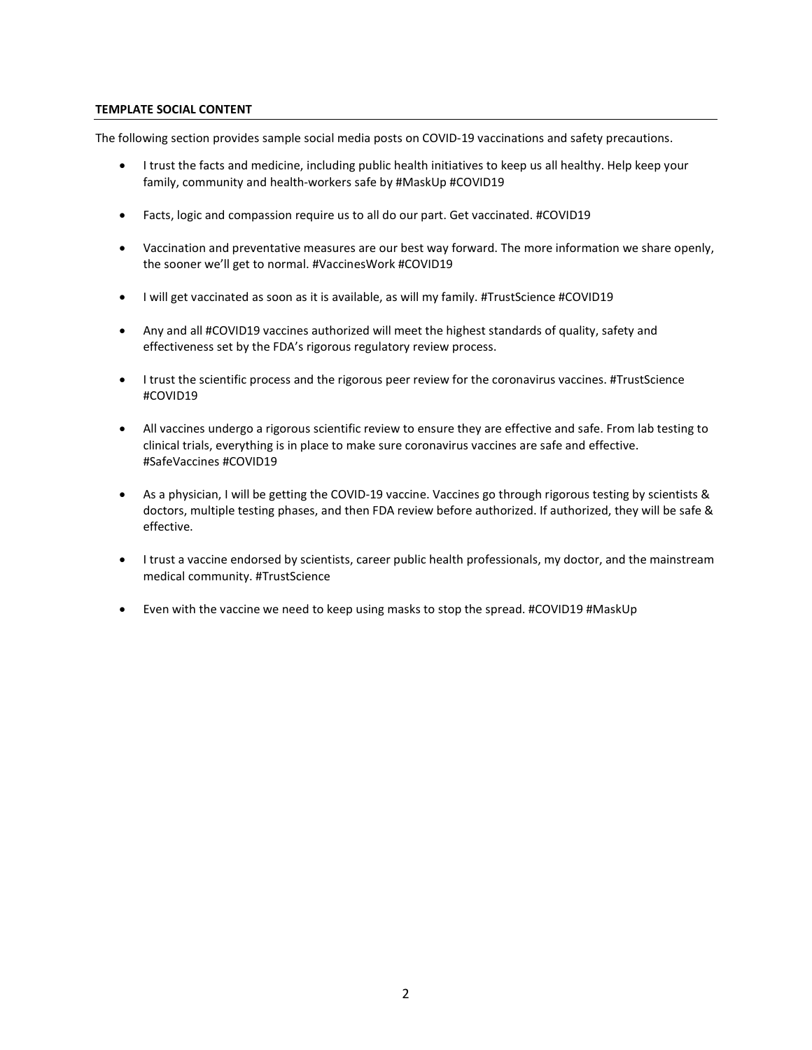### TEMPLATE SOCIAL CONTENT

The following section provides sample social media posts on COVID-19 vaccinations and safety precautions.

- I trust the facts and medicine, including public health initiatives to keep us all healthy. Help keep your family, community and health-workers safe by #MaskUp #COVID19
- Facts, logic and compassion require us to all do our part. Get vaccinated. #COVID19
- Vaccination and preventative measures are our best way forward. The more information we share openly, the sooner we'll get to normal. #VaccinesWork #COVID19
- I will get vaccinated as soon as it is available, as will my family. #TrustScience #COVID19
- Any and all #COVID19 vaccines authorized will meet the highest standards of quality, safety and effectiveness set by the FDA's rigorous regulatory review process.
- I trust the scientific process and the rigorous peer review for the coronavirus vaccines. #TrustScience #COVID19
- All vaccines undergo a rigorous scientific review to ensure they are effective and safe. From lab testing to clinical trials, everything is in place to make sure coronavirus vaccines are safe and effective. #SafeVaccines #COVID19
- As a physician, I will be getting the COVID-19 vaccine. Vaccines go through rigorous testing by scientists & doctors, multiple testing phases, and then FDA review before authorized. If authorized, they will be safe & effective.
- I trust a vaccine endorsed by scientists, career public health professionals, my doctor, and the mainstream medical community. #TrustScience
- Even with the vaccine we need to keep using masks to stop the spread. #COVID19 #MaskUp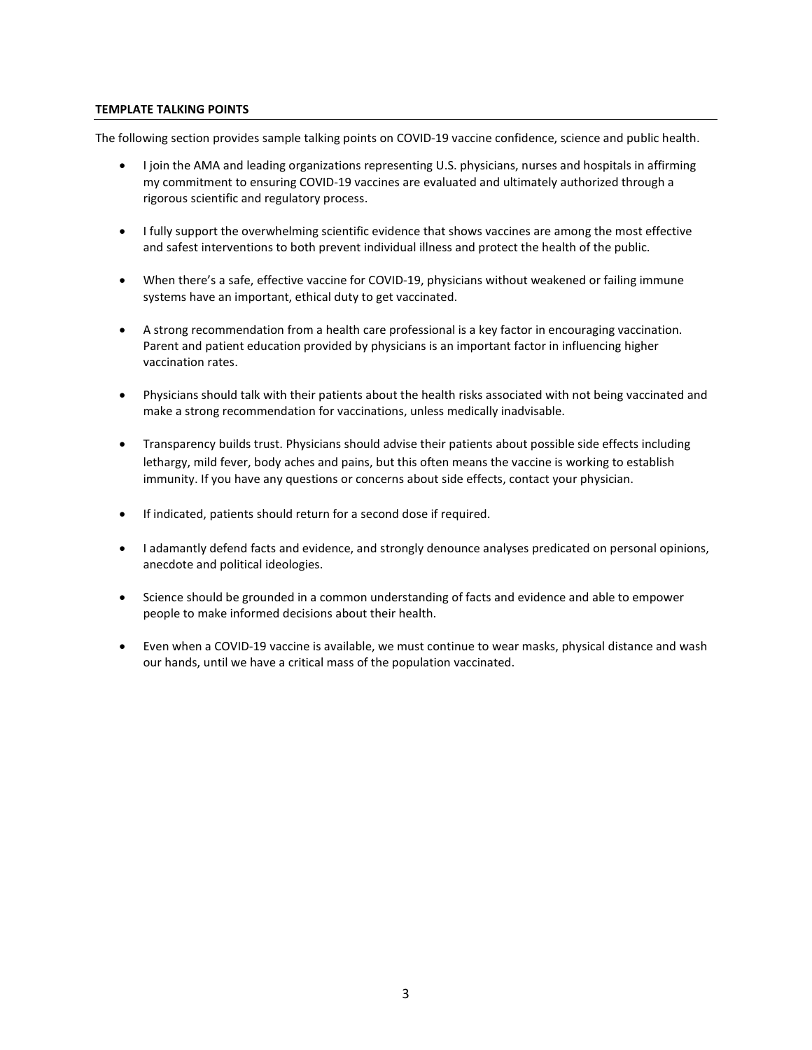### TEMPLATE TALKING POINTS

The following section provides sample talking points on COVID-19 vaccine confidence, science and public health.

- I join the AMA and leading organizations representing U.S. physicians, nurses and hospitals in affirming my commitment to ensuring COVID-19 vaccines are evaluated and ultimately authorized through a rigorous scientific and regulatory process.
- I fully support the overwhelming scientific evidence that shows vaccines are among the most effective and safest interventions to both prevent individual illness and protect the health of the public.
- When there's a safe, effective vaccine for COVID-19, physicians without weakened or failing immune systems have an important, ethical duty to get vaccinated.
- A strong recommendation from a health care professional is a key factor in encouraging vaccination. Parent and patient education provided by physicians is an important factor in influencing higher vaccination rates.
- Physicians should talk with their patients about the health risks associated with not being vaccinated and make a strong recommendation for vaccinations, unless medically inadvisable.
- Transparency builds trust. Physicians should advise their patients about possible side effects including lethargy, mild fever, body aches and pains, but this often means the vaccine is working to establish immunity. If you have any questions or concerns about side effects, contact your physician.
- If indicated, patients should return for a second dose if required.
- I adamantly defend facts and evidence, and strongly denounce analyses predicated on personal opinions, anecdote and political ideologies.
- Science should be grounded in a common understanding of facts and evidence and able to empower people to make informed decisions about their health.
- Even when a COVID-19 vaccine is available, we must continue to wear masks, physical distance and wash our hands, until we have a critical mass of the population vaccinated.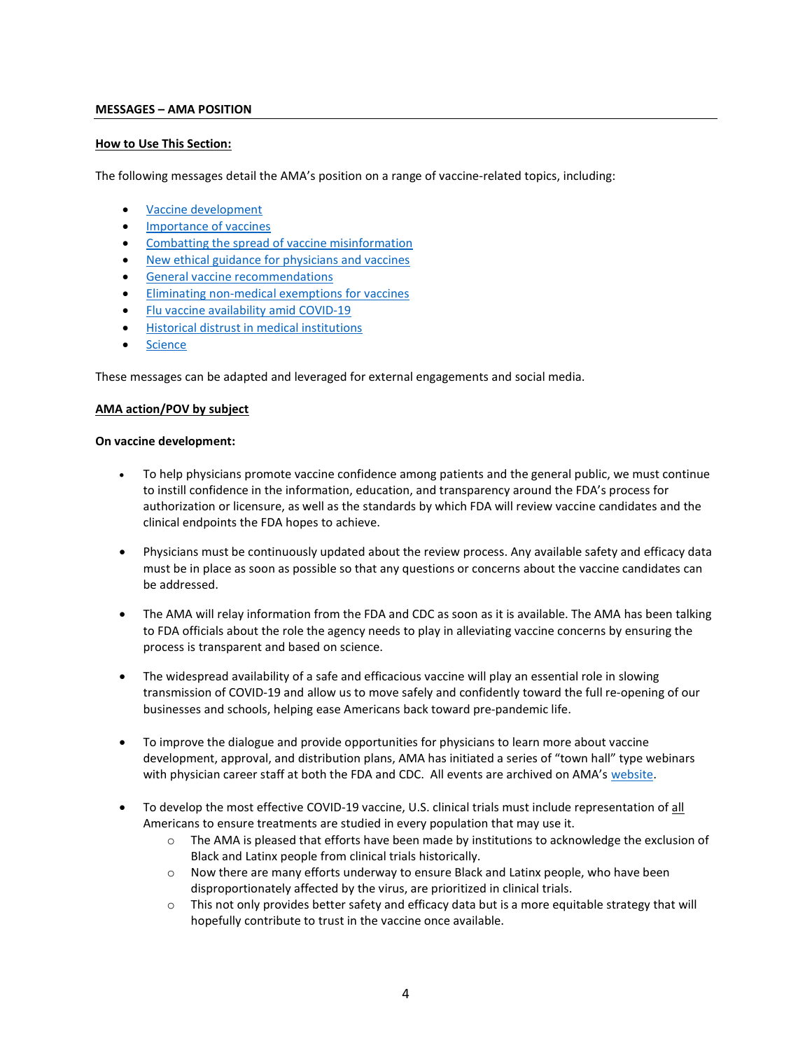### MESSAGES – AMA POSITION

### How to Use This Section:

The following messages detail the AMA's position on a range of vaccine-related topics, including:

- Vaccine development
- **•** Importance of vaccines
- Combatting the spread of vaccine misinformation
- New ethical guidance for physicians and vaccines
- **General vaccine recommendations**
- Eliminating non-medical exemptions for vaccines
- Flu vaccine availability amid COVID-19
- Historical distrust in medical institutions
- Science

These messages can be adapted and leveraged for external engagements and social media.

## AMA action/POV by subject

### On vaccine development:

- To help physicians promote vaccine confidence among patients and the general public, we must continue to instill confidence in the information, education, and transparency around the FDA's process for authorization or licensure, as well as the standards by which FDA will review vaccine candidates and the clinical endpoints the FDA hopes to achieve.
- Physicians must be continuously updated about the review process. Any available safety and efficacy data must be in place as soon as possible so that any questions or concerns about the vaccine candidates can be addressed.
- The AMA will relay information from the FDA and CDC as soon as it is available. The AMA has been talking to FDA officials about the role the agency needs to play in alleviating vaccine concerns by ensuring the process is transparent and based on science.
- The widespread availability of a safe and efficacious vaccine will play an essential role in slowing transmission of COVID-19 and allow us to move safely and confidently toward the full re-opening of our businesses and schools, helping ease Americans back toward pre-pandemic life.
- To improve the dialogue and provide opportunities for physicians to learn more about vaccine development, approval, and distribution plans, AMA has initiated a series of "town hall" type webinars with physician career staff at both the FDA and CDC. All events are archived on AMA's website.
- To develop the most effective COVID-19 vaccine, U.S. clinical trials must include representation of all Americans to ensure treatments are studied in every population that may use it.
	- $\circ$  The AMA is pleased that efforts have been made by institutions to acknowledge the exclusion of Black and Latinx people from clinical trials historically.
	- o Now there are many efforts underway to ensure Black and Latinx people, who have been disproportionately affected by the virus, are prioritized in clinical trials.
	- o This not only provides better safety and efficacy data but is a more equitable strategy that will hopefully contribute to trust in the vaccine once available.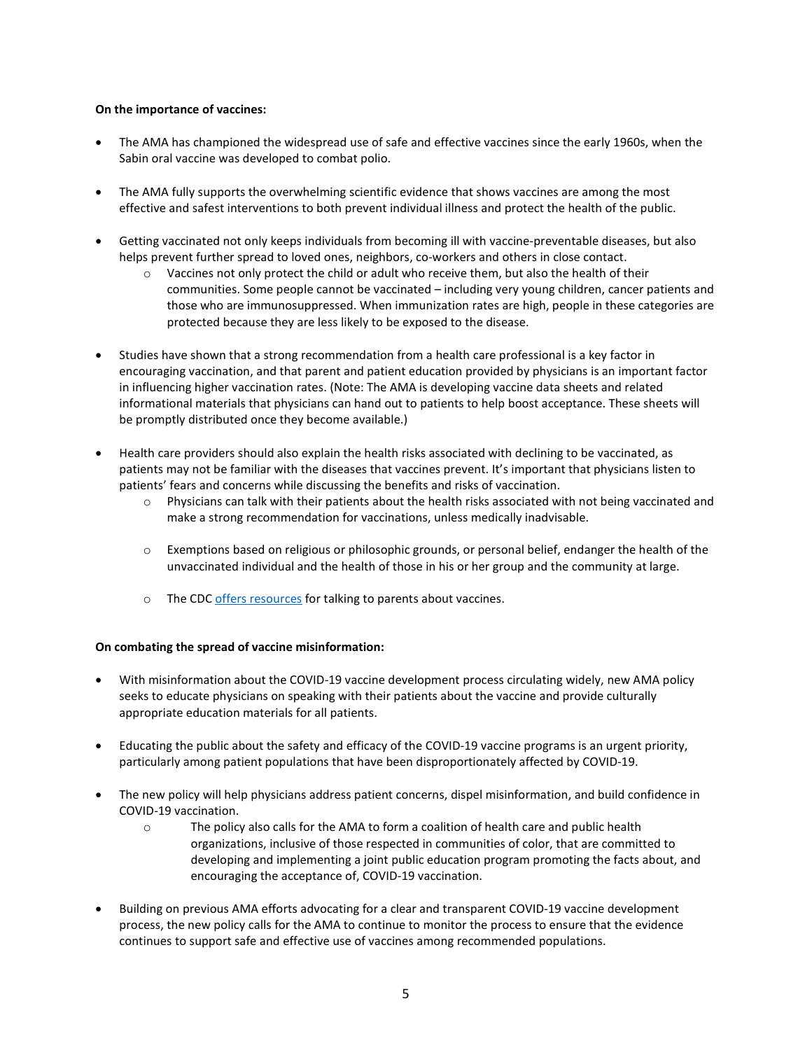# On the importance of vaccines:

- The AMA has championed the widespread use of safe and effective vaccines since the early 1960s, when the Sabin oral vaccine was developed to combat polio.
- The AMA fully supports the overwhelming scientific evidence that shows vaccines are among the most effective and safest interventions to both prevent individual illness and protect the health of the public.
- Getting vaccinated not only keeps individuals from becoming ill with vaccine-preventable diseases, but also helps prevent further spread to loved ones, neighbors, co-workers and others in close contact.
	- $\circ$  Vaccines not only protect the child or adult who receive them, but also the health of their communities. Some people cannot be vaccinated – including very young children, cancer patients and those who are immunosuppressed. When immunization rates are high, people in these categories are protected because they are less likely to be exposed to the disease.
- Studies have shown that a strong recommendation from a health care professional is a key factor in encouraging vaccination, and that parent and patient education provided by physicians is an important factor in influencing higher vaccination rates. (Note: The AMA is developing vaccine data sheets and related informational materials that physicians can hand out to patients to help boost acceptance. These sheets will be promptly distributed once they become available.)
- Health care providers should also explain the health risks associated with declining to be vaccinated, as patients may not be familiar with the diseases that vaccines prevent. It's important that physicians listen to patients' fears and concerns while discussing the benefits and risks of vaccination.
	- $\circ$  Physicians can talk with their patients about the health risks associated with not being vaccinated and make a strong recommendation for vaccinations, unless medically inadvisable.
	- $\circ$  Exemptions based on religious or philosophic grounds, or personal belief, endanger the health of the unvaccinated individual and the health of those in his or her group and the community at large.
	- o The CDC offers resources for talking to parents about vaccines.

### On combating the spread of vaccine misinformation:

- With misinformation about the COVID-19 vaccine development process circulating widely, new AMA policy seeks to educate physicians on speaking with their patients about the vaccine and provide culturally appropriate education materials for all patients.
- Educating the public about the safety and efficacy of the COVID-19 vaccine programs is an urgent priority, particularly among patient populations that have been disproportionately affected by COVID-19.
- The new policy will help physicians address patient concerns, dispel misinformation, and build confidence in COVID-19 vaccination.
	- o The policy also calls for the AMA to form a coalition of health care and public health organizations, inclusive of those respected in communities of color, that are committed to developing and implementing a joint public education program promoting the facts about, and encouraging the acceptance of, COVID-19 vaccination.
- Building on previous AMA efforts advocating for a clear and transparent COVID-19 vaccine development process, the new policy calls for the AMA to continue to monitor the process to ensure that the evidence continues to support safe and effective use of vaccines among recommended populations.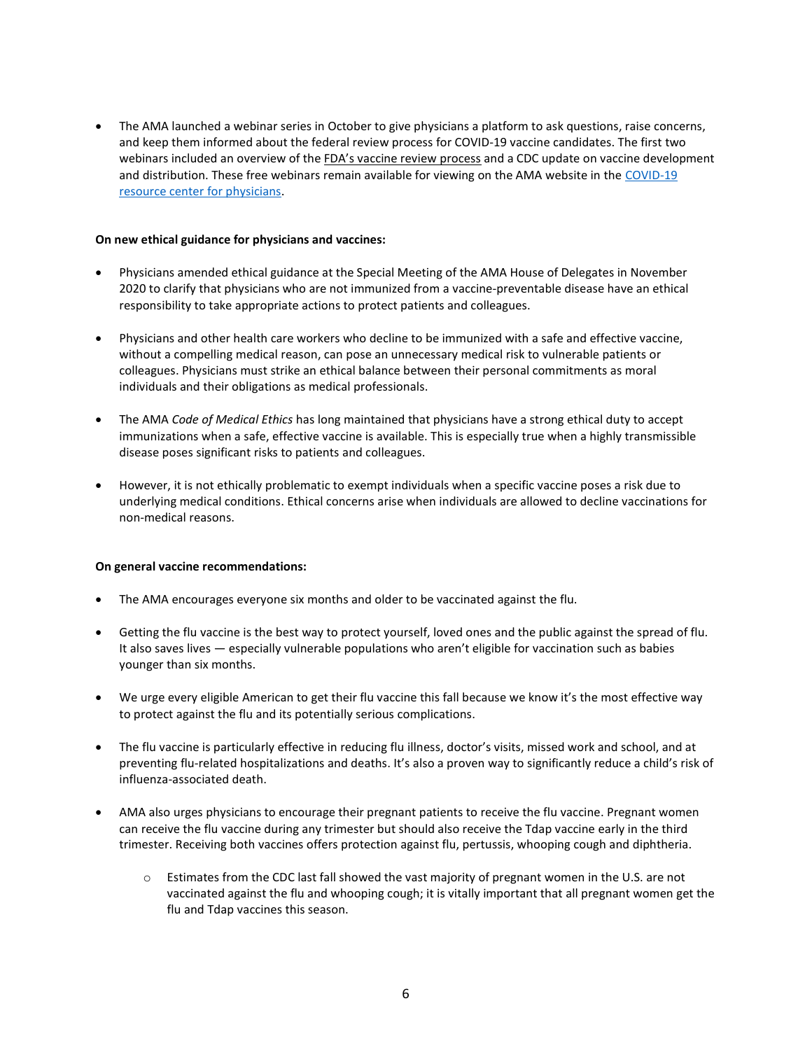The AMA launched a webinar series in October to give physicians a platform to ask questions, raise concerns, and keep them informed about the federal review process for COVID-19 vaccine candidates. The first two webinars included an overview of the FDA's vaccine review process and a CDC update on vaccine development and distribution. These free webinars remain available for viewing on the AMA website in the COVID-19 resource center for physicians.

### On new ethical guidance for physicians and vaccines:

- Physicians amended ethical guidance at the Special Meeting of the AMA House of Delegates in November 2020 to clarify that physicians who are not immunized from a vaccine-preventable disease have an ethical responsibility to take appropriate actions to protect patients and colleagues.
- Physicians and other health care workers who decline to be immunized with a safe and effective vaccine, without a compelling medical reason, can pose an unnecessary medical risk to vulnerable patients or colleagues. Physicians must strike an ethical balance between their personal commitments as moral individuals and their obligations as medical professionals.
- The AMA Code of Medical Ethics has long maintained that physicians have a strong ethical duty to accept immunizations when a safe, effective vaccine is available. This is especially true when a highly transmissible disease poses significant risks to patients and colleagues.
- However, it is not ethically problematic to exempt individuals when a specific vaccine poses a risk due to underlying medical conditions. Ethical concerns arise when individuals are allowed to decline vaccinations for non-medical reasons.

# On general vaccine recommendations:

- The AMA encourages everyone six months and older to be vaccinated against the flu.
- Getting the flu vaccine is the best way to protect yourself, loved ones and the public against the spread of flu. It also saves lives — especially vulnerable populations who aren't eligible for vaccination such as babies younger than six months.
- We urge every eligible American to get their flu vaccine this fall because we know it's the most effective way to protect against the flu and its potentially serious complications.
- The flu vaccine is particularly effective in reducing flu illness, doctor's visits, missed work and school, and at preventing flu-related hospitalizations and deaths. It's also a proven way to significantly reduce a child's risk of influenza-associated death.
- AMA also urges physicians to encourage their pregnant patients to receive the flu vaccine. Pregnant women can receive the flu vaccine during any trimester but should also receive the Tdap vaccine early in the third trimester. Receiving both vaccines offers protection against flu, pertussis, whooping cough and diphtheria.
	- o Estimates from the CDC last fall showed the vast majority of pregnant women in the U.S. are not vaccinated against the flu and whooping cough; it is vitally important that all pregnant women get the flu and Tdap vaccines this season.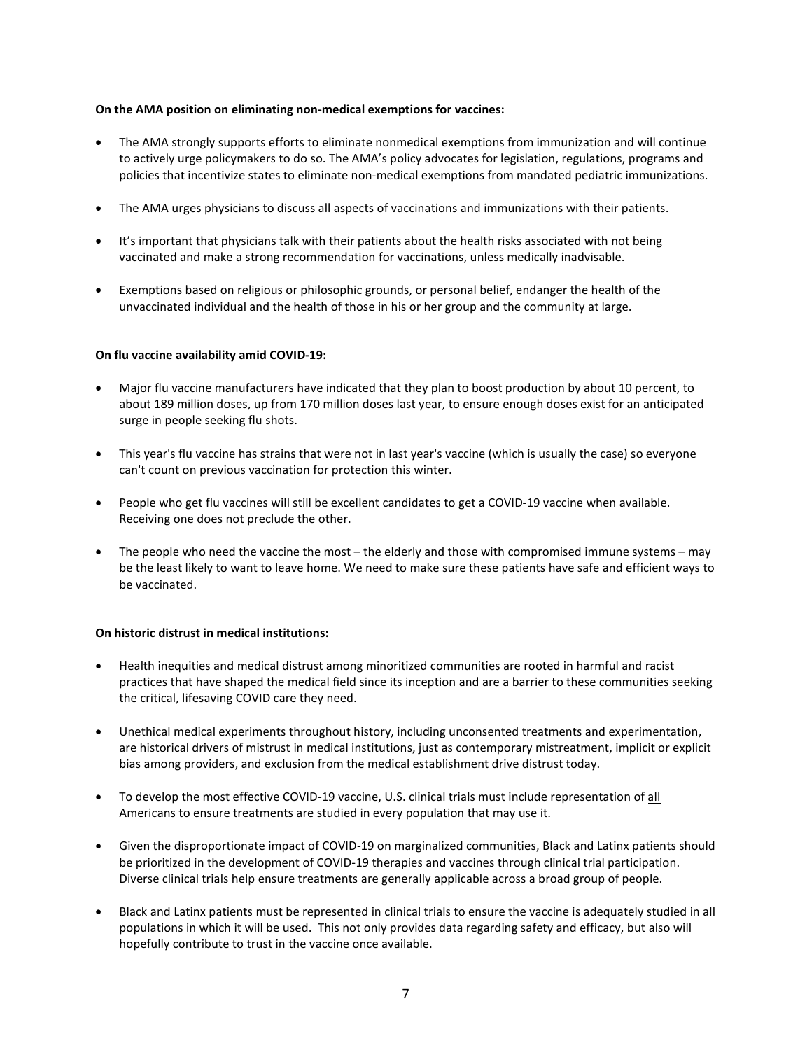## On the AMA position on eliminating non-medical exemptions for vaccines:

- The AMA strongly supports efforts to eliminate nonmedical exemptions from immunization and will continue to actively urge policymakers to do so. The AMA's policy advocates for legislation, regulations, programs and policies that incentivize states to eliminate non-medical exemptions from mandated pediatric immunizations.
- The AMA urges physicians to discuss all aspects of vaccinations and immunizations with their patients.
- It's important that physicians talk with their patients about the health risks associated with not being vaccinated and make a strong recommendation for vaccinations, unless medically inadvisable.
- Exemptions based on religious or philosophic grounds, or personal belief, endanger the health of the unvaccinated individual and the health of those in his or her group and the community at large.

### On flu vaccine availability amid COVID-19:

- Major flu vaccine manufacturers have indicated that they plan to boost production by about 10 percent, to about 189 million doses, up from 170 million doses last year, to ensure enough doses exist for an anticipated surge in people seeking flu shots.
- This year's flu vaccine has strains that were not in last year's vaccine (which is usually the case) so everyone can't count on previous vaccination for protection this winter.
- People who get flu vaccines will still be excellent candidates to get a COVID-19 vaccine when available. Receiving one does not preclude the other.
- The people who need the vaccine the most the elderly and those with compromised immune systems may be the least likely to want to leave home. We need to make sure these patients have safe and efficient ways to be vaccinated.

### On historic distrust in medical institutions:

- Health inequities and medical distrust among minoritized communities are rooted in harmful and racist practices that have shaped the medical field since its inception and are a barrier to these communities seeking the critical, lifesaving COVID care they need.
- Unethical medical experiments throughout history, including unconsented treatments and experimentation, are historical drivers of mistrust in medical institutions, just as contemporary mistreatment, implicit or explicit bias among providers, and exclusion from the medical establishment drive distrust today.
- To develop the most effective COVID-19 vaccine, U.S. clinical trials must include representation of all Americans to ensure treatments are studied in every population that may use it.
- Given the disproportionate impact of COVID-19 on marginalized communities, Black and Latinx patients should be prioritized in the development of COVID-19 therapies and vaccines through clinical trial participation. Diverse clinical trials help ensure treatments are generally applicable across a broad group of people.
- Black and Latinx patients must be represented in clinical trials to ensure the vaccine is adequately studied in all populations in which it will be used. This not only provides data regarding safety and efficacy, but also will hopefully contribute to trust in the vaccine once available.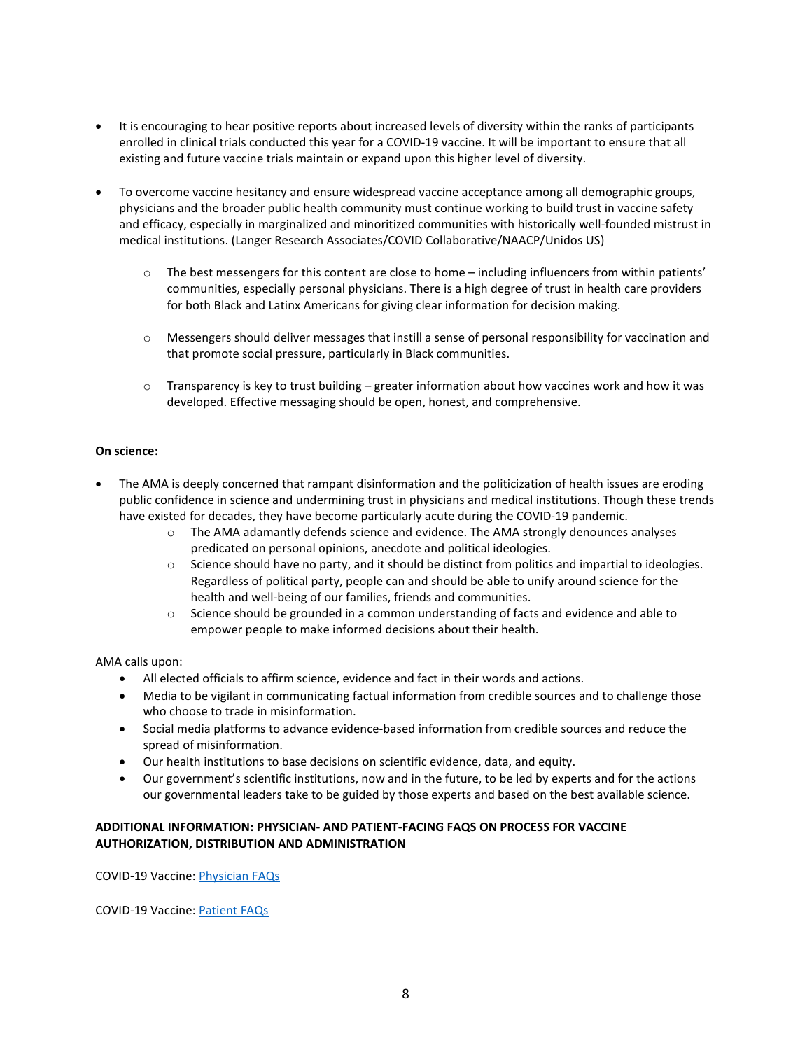- It is encouraging to hear positive reports about increased levels of diversity within the ranks of participants enrolled in clinical trials conducted this year for a COVID-19 vaccine. It will be important to ensure that all existing and future vaccine trials maintain or expand upon this higher level of diversity.
- To overcome vaccine hesitancy and ensure widespread vaccine acceptance among all demographic groups, physicians and the broader public health community must continue working to build trust in vaccine safety and efficacy, especially in marginalized and minoritized communities with historically well-founded mistrust in medical institutions. (Langer Research Associates/COVID Collaborative/NAACP/Unidos US)
	- $\circ$  The best messengers for this content are close to home including influencers from within patients' communities, especially personal physicians. There is a high degree of trust in health care providers for both Black and Latinx Americans for giving clear information for decision making.
	- o Messengers should deliver messages that instill a sense of personal responsibility for vaccination and that promote social pressure, particularly in Black communities.
	- $\circ$  Transparency is key to trust building greater information about how vaccines work and how it was developed. Effective messaging should be open, honest, and comprehensive.

## On science:

- The AMA is deeply concerned that rampant disinformation and the politicization of health issues are eroding public confidence in science and undermining trust in physicians and medical institutions. Though these trends have existed for decades, they have become particularly acute during the COVID-19 pandemic.
	- $\circ$  The AMA adamantly defends science and evidence. The AMA strongly denounces analyses predicated on personal opinions, anecdote and political ideologies.
	- $\circ$  Science should have no party, and it should be distinct from politics and impartial to ideologies. Regardless of political party, people can and should be able to unify around science for the health and well-being of our families, friends and communities.
	- o Science should be grounded in a common understanding of facts and evidence and able to empower people to make informed decisions about their health.

AMA calls upon:

- All elected officials to affirm science, evidence and fact in their words and actions.
- Media to be vigilant in communicating factual information from credible sources and to challenge those who choose to trade in misinformation.
- Social media platforms to advance evidence-based information from credible sources and reduce the spread of misinformation.
- Our health institutions to base decisions on scientific evidence, data, and equity.
- Our government's scientific institutions, now and in the future, to be led by experts and for the actions our governmental leaders take to be guided by those experts and based on the best available science.

# ADDITIONAL INFORMATION: PHYSICIAN- AND PATIENT-FACING FAQS ON PROCESS FOR VACCINE AUTHORIZATION, DISTRIBUTION AND ADMINISTRATION

COVID-19 Vaccine: Physician FAQs

COVID-19 Vaccine: Patient FAQs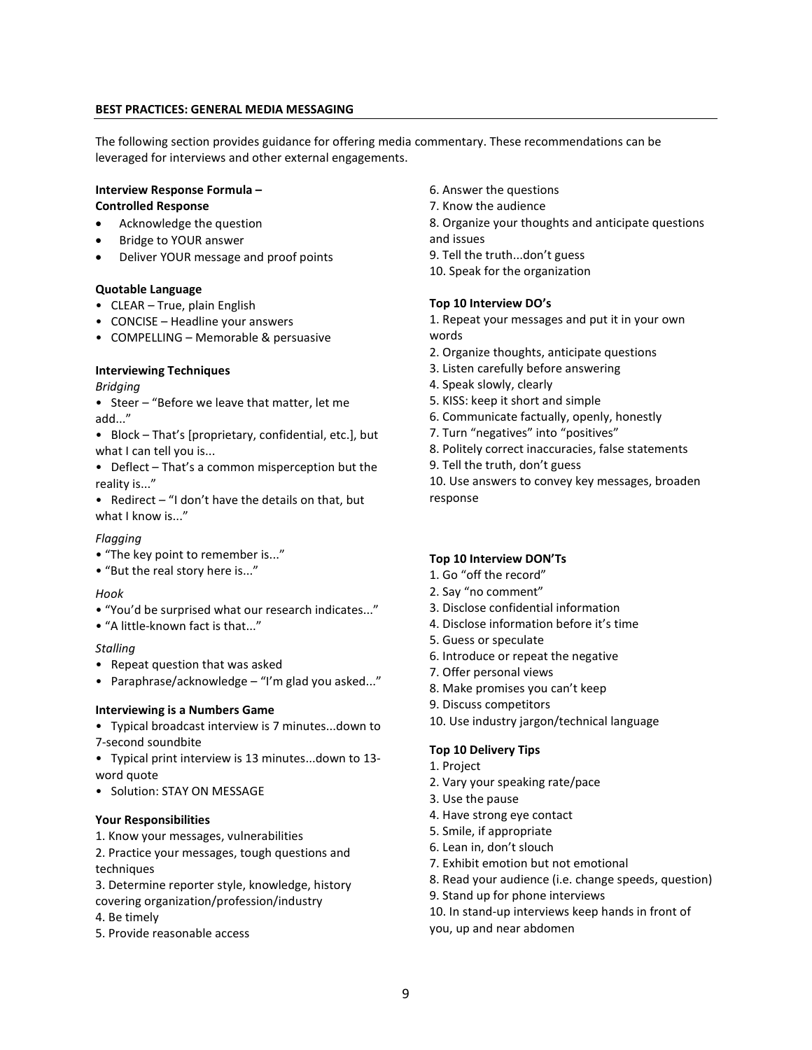## BEST PRACTICES: GENERAL MEDIA MESSAGING

The following section provides guidance for offering media commentary. These recommendations can be leveraged for interviews and other external engagements.

## Interview Response Formula – Controlled Response

- Acknowledge the question
- Bridge to YOUR answer
- Deliver YOUR message and proof points

### Quotable Language

- CLEAR True, plain English
- CONCISE Headline your answers
- COMPELLING Memorable & persuasive

# Interviewing Techniques

## Bridging

- Steer "Before we leave that matter, let me add..."
- Block That's [proprietary, confidential, etc.], but what I can tell you is...
- Deflect That's a common misperception but the reality is..."
- Redirect "I don't have the details on that, but what I know is..."

# Flagging

- "The key point to remember is..."
- "But the real story here is..."

### Hook

- "You'd be surprised what our research indicates..."
- "A little-known fact is that..."

# **Stalling**

- Repeat question that was asked
- Paraphrase/acknowledge "I'm glad you asked..."

### Interviewing is a Numbers Game

- Typical broadcast interview is 7 minutes...down to 7-second soundbite
- Typical print interview is 13 minutes...down to 13 word quote
- Solution: STAY ON MESSAGE

### Your Responsibilities

- 1. Know your messages, vulnerabilities
- 2. Practice your messages, tough questions and techniques
- 3. Determine reporter style, knowledge, history covering organization/profession/industry
- 4. Be timely
- 5. Provide reasonable access
- 6. Answer the questions
- 7. Know the audience
- 8. Organize your thoughts and anticipate questions and issues
- 9. Tell the truth...don't guess

10. Speak for the organization

# Top 10 Interview DO's

1. Repeat your messages and put it in your own words

- 2. Organize thoughts, anticipate questions
- 3. Listen carefully before answering
- 4. Speak slowly, clearly
- 5. KISS: keep it short and simple
- 6. Communicate factually, openly, honestly
- 7. Turn "negatives" into "positives"
- 8. Politely correct inaccuracies, false statements
- 9. Tell the truth, don't guess

10. Use answers to convey key messages, broaden response

# Top 10 Interview DON'Ts

- 1. Go "off the record"
- 2. Say "no comment"
- 3. Disclose confidential information
- 4. Disclose information before it's time
- 5. Guess or speculate
- 6. Introduce or repeat the negative
- 7. Offer personal views
- 8. Make promises you can't keep
- 9. Discuss competitors
- 10. Use industry jargon/technical language

# Top 10 Delivery Tips

- 1. Project
- 2. Vary your speaking rate/pace
- 3. Use the pause
- 4. Have strong eye contact
- 5. Smile, if appropriate
- 6. Lean in, don't slouch
- 7. Exhibit emotion but not emotional
- 8. Read your audience (i.e. change speeds, question)
- 9. Stand up for phone interviews
- 10. In stand-up interviews keep hands in front of
- you, up and near abdomen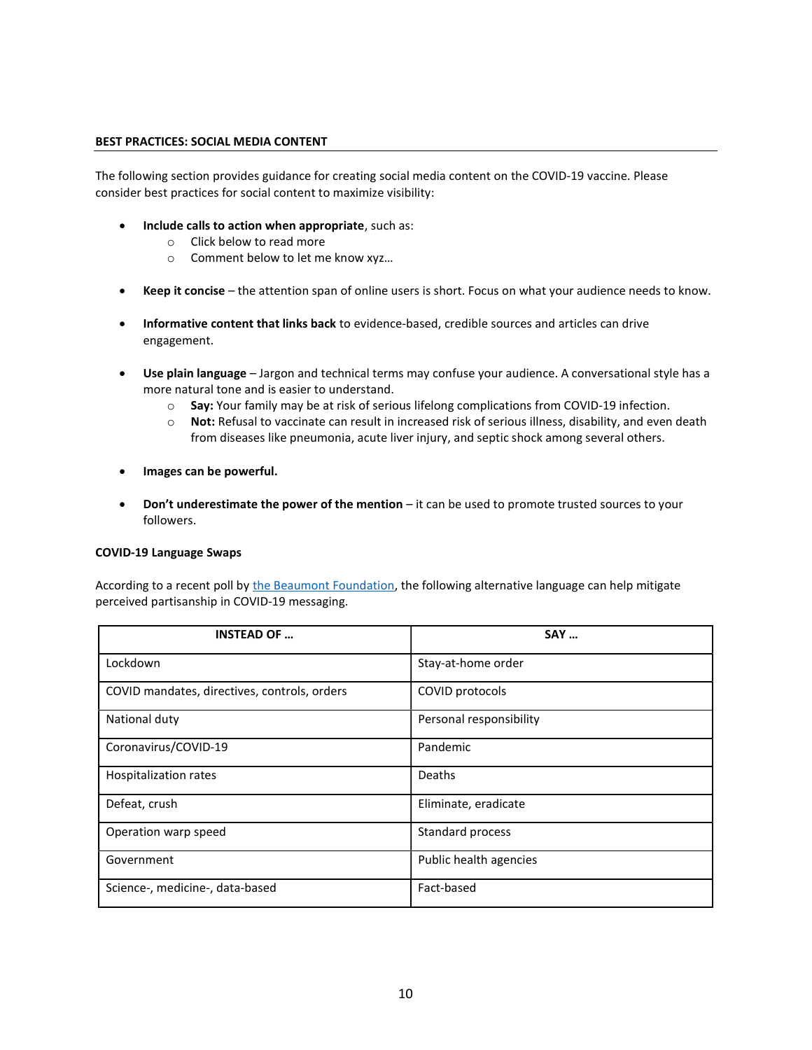### BEST PRACTICES: SOCIAL MEDIA CONTENT

The following section provides guidance for creating social media content on the COVID-19 vaccine. Please consider best practices for social content to maximize visibility:

- Include calls to action when appropriate, such as:
	- o Click below to read more
	- o Comment below to let me know xyz…
- Keep it concise the attention span of online users is short. Focus on what your audience needs to know.
- Informative content that links back to evidence-based, credible sources and articles can drive engagement.
- Use plain language Jargon and technical terms may confuse your audience. A conversational style has a more natural tone and is easier to understand.
	- $\circ$  Say: Your family may be at risk of serious lifelong complications from COVID-19 infection.
	- o Not: Refusal to vaccinate can result in increased risk of serious illness, disability, and even death from diseases like pneumonia, acute liver injury, and septic shock among several others.
- Images can be powerful.
- Don't underestimate the power of the mention it can be used to promote trusted sources to your followers.

#### COVID-19 Language Swaps

According to a recent poll by the Beaumont Foundation, the following alternative language can help mitigate perceived partisanship in COVID-19 messaging.

| <b>INSTEAD OF </b>                           | <b>SAY </b>             |
|----------------------------------------------|-------------------------|
| Lockdown                                     | Stay-at-home order      |
| COVID mandates, directives, controls, orders | COVID protocols         |
| National duty                                | Personal responsibility |
| Coronavirus/COVID-19                         | Pandemic                |
| Hospitalization rates                        | Deaths                  |
| Defeat, crush                                | Eliminate, eradicate    |
| Operation warp speed                         | Standard process        |
| Government                                   | Public health agencies  |
| Science-, medicine-, data-based              | Fact-based              |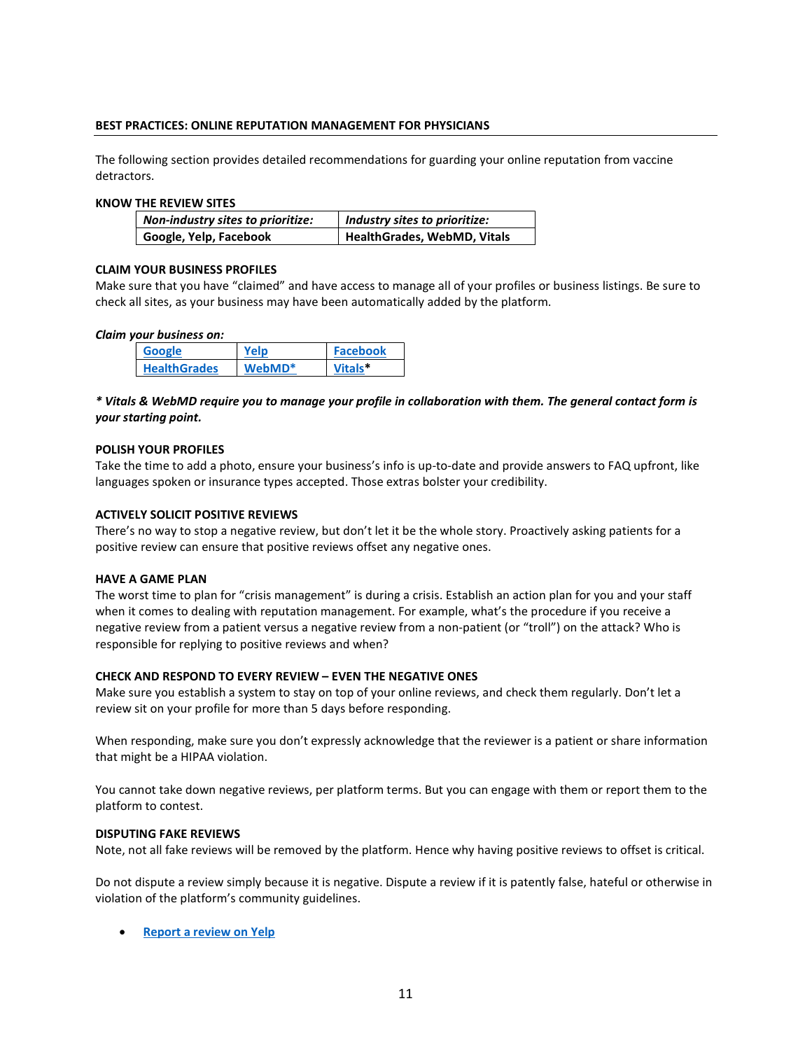# BEST PRACTICES: ONLINE REPUTATION MANAGEMENT FOR PHYSICIANS

The following section provides detailed recommendations for guarding your online reputation from vaccine detractors.

#### KNOW THE REVIEW SITES

| Non-industry sites to prioritize: | Industry sites to prioritize: |
|-----------------------------------|-------------------------------|
| Google, Yelp, Facebook            | HealthGrades, WebMD, Vitals   |

## CLAIM YOUR BUSINESS PROFILES

Make sure that you have "claimed" and have access to manage all of your profiles or business listings. Be sure to check all sites, as your business may have been automatically added by the platform.

#### Claim your business on:

| Google              |                  | <b>Facebook</b>     |
|---------------------|------------------|---------------------|
| <b>HealthGrades</b> | $W$ eh $M$ D $*$ | Vitals <sup>*</sup> |

# \* Vitals & WebMD require you to manage your profile in collaboration with them. The general contact form is your starting point.

#### POLISH YOUR PROFILES

Take the time to add a photo, ensure your business's info is up-to-date and provide answers to FAQ upfront, like languages spoken or insurance types accepted. Those extras bolster your credibility.

#### ACTIVELY SOLICIT POSITIVE REVIEWS

There's no way to stop a negative review, but don't let it be the whole story. Proactively asking patients for a positive review can ensure that positive reviews offset any negative ones.

#### HAVE A GAME PLAN

The worst time to plan for "crisis management" is during a crisis. Establish an action plan for you and your staff when it comes to dealing with reputation management. For example, what's the procedure if you receive a negative review from a patient versus a negative review from a non-patient (or "troll") on the attack? Who is responsible for replying to positive reviews and when?

### CHECK AND RESPOND TO EVERY REVIEW – EVEN THE NEGATIVE ONES

Make sure you establish a system to stay on top of your online reviews, and check them regularly. Don't let a review sit on your profile for more than 5 days before responding.

When responding, make sure you don't expressly acknowledge that the reviewer is a patient or share information that might be a HIPAA violation.

You cannot take down negative reviews, per platform terms. But you can engage with them or report them to the platform to contest.

### DISPUTING FAKE REVIEWS

Note, not all fake reviews will be removed by the platform. Hence why having positive reviews to offset is critical.

Do not dispute a review simply because it is negative. Dispute a review if it is patently false, hateful or otherwise in violation of the platform's community guidelines.

• Report a review on Yelp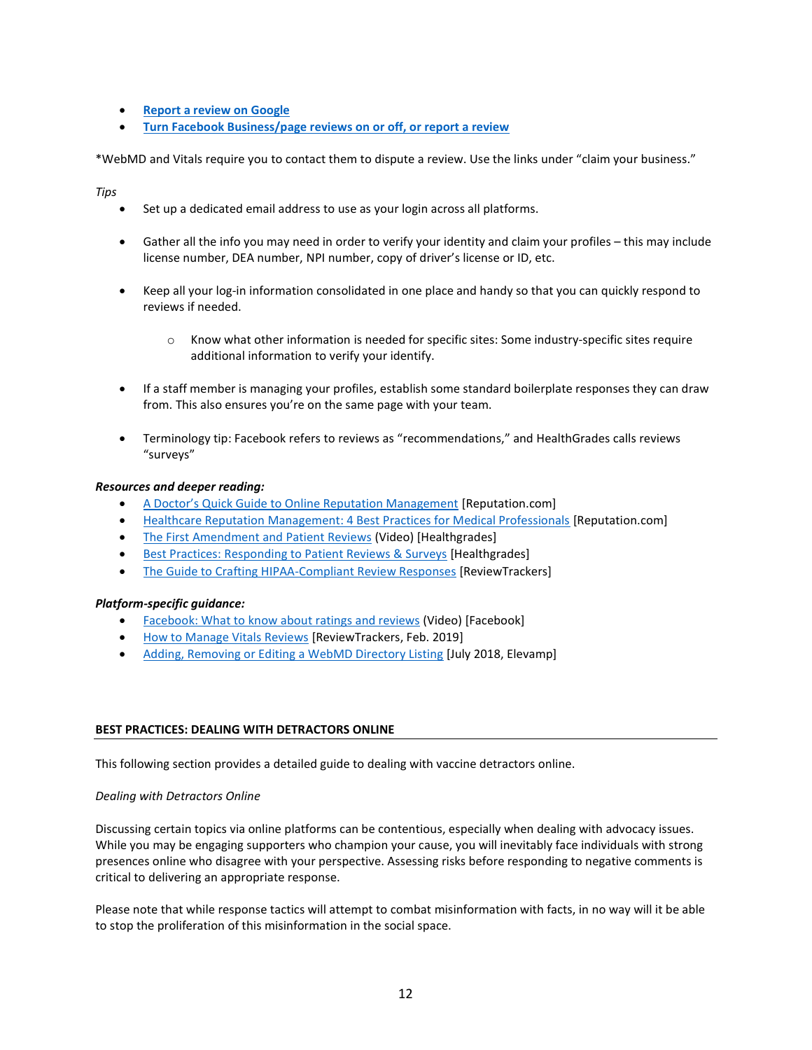- Report a review on Google
- Turn Facebook Business/page reviews on or off, or report a review

\*WebMD and Vitals require you to contact them to dispute a review. Use the links under "claim your business."

Tips

- Set up a dedicated email address to use as your login across all platforms.
- Gather all the info you may need in order to verify your identity and claim your profiles this may include license number, DEA number, NPI number, copy of driver's license or ID, etc.
- Keep all your log-in information consolidated in one place and handy so that you can quickly respond to reviews if needed.
	- o Know what other information is needed for specific sites: Some industry-specific sites require additional information to verify your identify.
- If a staff member is managing your profiles, establish some standard boilerplate responses they can draw from. This also ensures you're on the same page with your team.
- Terminology tip: Facebook refers to reviews as "recommendations," and HealthGrades calls reviews "surveys"

## Resources and deeper reading:

- A Doctor's Quick Guide to Online Reputation Management [Reputation.com]
- Healthcare Reputation Management: 4 Best Practices for Medical Professionals [Reputation.com]
- The First Amendment and Patient Reviews (Video) [Healthgrades]
- Best Practices: Responding to Patient Reviews & Surveys [Healthgrades]
- The Guide to Crafting HIPAA-Compliant Review Responses [ReviewTrackers]

# Platform-specific guidance:

- Facebook: What to know about ratings and reviews (Video) [Facebook]
- How to Manage Vitals Reviews [ReviewTrackers, Feb. 2019]
- Adding, Removing or Editing a WebMD Directory Listing [July 2018, Elevamp]

# BEST PRACTICES: DEALING WITH DETRACTORS ONLINE

This following section provides a detailed guide to dealing with vaccine detractors online.

### Dealing with Detractors Online

Discussing certain topics via online platforms can be contentious, especially when dealing with advocacy issues. While you may be engaging supporters who champion your cause, you will inevitably face individuals with strong presences online who disagree with your perspective. Assessing risks before responding to negative comments is critical to delivering an appropriate response.

Please note that while response tactics will attempt to combat misinformation with facts, in no way will it be able to stop the proliferation of this misinformation in the social space.